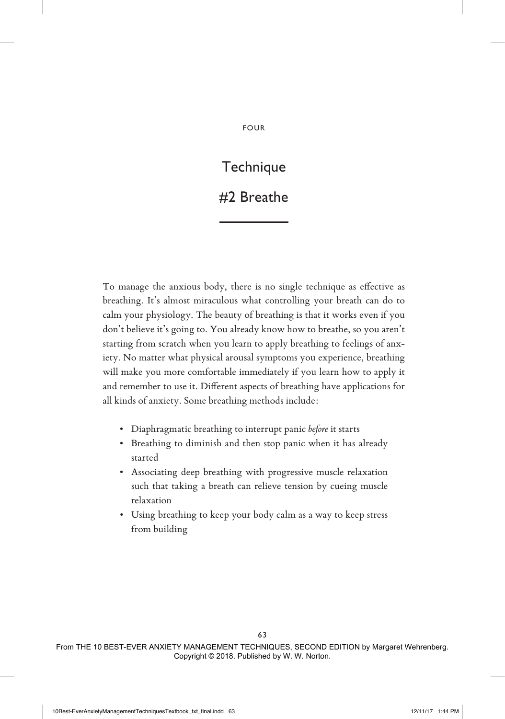#### FOUR

# **Technique**

## #2 Breathe

To manage the anxious body, there is no single technique as effective as breathing. It's almost miraculous what controlling your breath can do to calm your physiology. The beauty of breathing is that it works even if you don't believe it's going to. You already know how to breathe, so you aren't starting from scratch when you learn to apply breathing to feelings of anxiety. No matter what physical arousal symptoms you experience, breathing will make you more comfortable immediately if you learn how to apply it and remember to use it. Different aspects of breathing have applications for all kinds of anxiety. Some breathing methods include:

- Diaphragmatic breathing to interrupt panic *before* it starts
- Breathing to diminish and then stop panic when it has already started
- Associating deep breathing with progressive muscle relaxation such that taking a breath can relieve tension by cueing muscle relaxation
- Using breathing to keep your body calm as a way to keep stress from building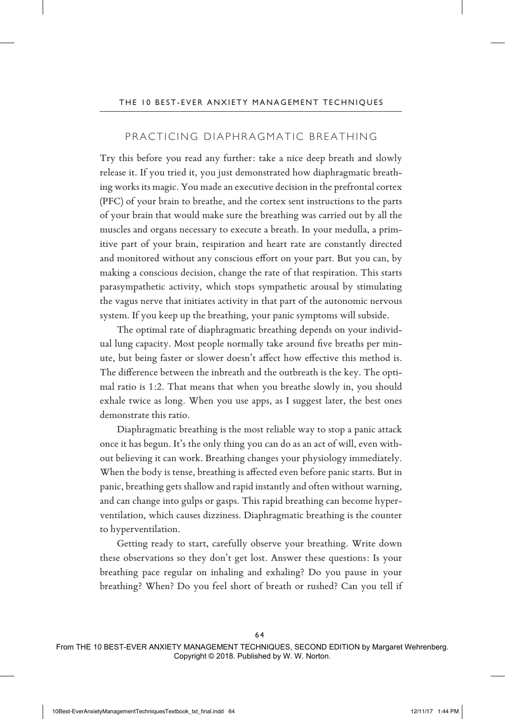### PRACTICING DIAPHRAGMATIC BREATHING

Try this before you read any further: take a nice deep breath and slowly release it. If you tried it, you just demonstrated how diaphragmatic breathing works its magic. You made an executive decision in the prefrontal cortex (PFC) of your brain to breathe, and the cortex sent instructions to the parts of your brain that would make sure the breathing was carried out by all the muscles and organs necessary to execute a breath. In your medulla, a primitive part of your brain, respiration and heart rate are constantly directed and monitored without any conscious effort on your part. But you can, by making a conscious decision, change the rate of that respiration. This starts parasympathetic activity, which stops sympathetic arousal by stimulating the vagus nerve that initiates activity in that part of the autonomic nervous system. If you keep up the breathing, your panic symptoms will subside.

The optimal rate of diaphragmatic breathing depends on your individual lung capacity. Most people normally take around five breaths per minute, but being faster or slower doesn't affect how effective this method is. The difference between the inbreath and the outbreath is the key. The optimal ratio is 1:2. That means that when you breathe slowly in, you should exhale twice as long. When you use apps, as I suggest later, the best ones demonstrate this ratio.

Diaphragmatic breathing is the most reliable way to stop a panic attack once it has begun. It's the only thing you can do as an act of will, even without believing it can work. Breathing changes your physiology immediately. When the body is tense, breathing is affected even before panic starts. But in panic, breathing gets shallow and rapid instantly and often without warning, and can change into gulps or gasps. This rapid breathing can become hyperventilation, which causes dizziness. Diaphragmatic breathing is the counter to hyperventilation.

Getting ready to start, carefully observe your breathing. Write down these observations so they don't get lost. Answer these questions: Is your breathing pace regular on inhaling and exhaling? Do you pause in your breathing? When? Do you feel short of breath or rushed? Can you tell if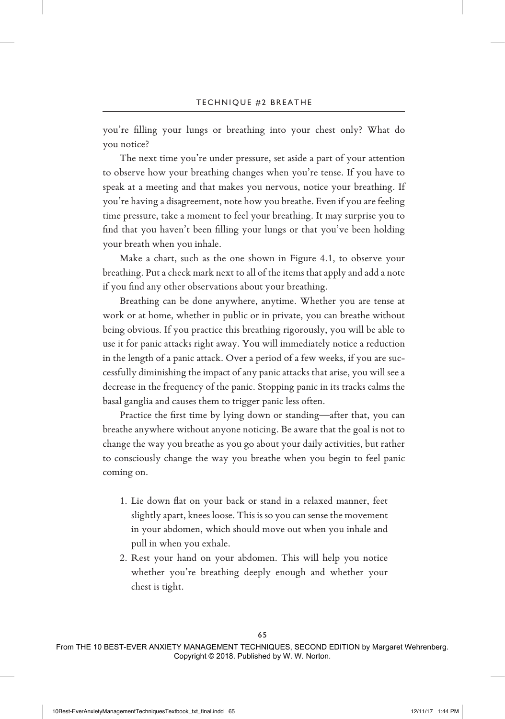you're filling your lungs or breathing into your chest only? What do you notice?

The next time you're under pressure, set aside a part of your attention to observe how your breathing changes when you're tense. If you have to speak at a meeting and that makes you nervous, notice your breathing. If you're having a disagreement, note how you breathe. Even if you are feeling time pressure, take a moment to feel your breathing. It may surprise you to find that you haven't been filling your lungs or that you've been holding your breath when you inhale.

Make a chart, such as the one shown in Figure 4.1, to observe your breathing. Put a check mark next to all of the items that apply and add a note if you find any other observations about your breathing.

Breathing can be done anywhere, anytime. Whether you are tense at work or at home, whether in public or in private, you can breathe without being obvious. If you practice this breathing rigorously, you will be able to use it for panic attacks right away. You will immediately notice a reduction in the length of a panic attack. Over a period of a few weeks, if you are successfully diminishing the impact of any panic attacks that arise, you will see a decrease in the frequency of the panic. Stopping panic in its tracks calms the basal ganglia and causes them to trigger panic less often.

Practice the first time by lying down or standing—after that, you can breathe anywhere without anyone noticing. Be aware that the goal is not to change the way you breathe as you go about your daily activities, but rather to consciously change the way you breathe when you begin to feel panic coming on.

- 1. Lie down flat on your back or stand in a relaxed manner, feet slightly apart, knees loose. This is so you can sense the movement in your abdomen, which should move out when you inhale and pull in when you exhale.
- 2. Rest your hand on your abdomen. This will help you notice whether you're breathing deeply enough and whether your chest is tight.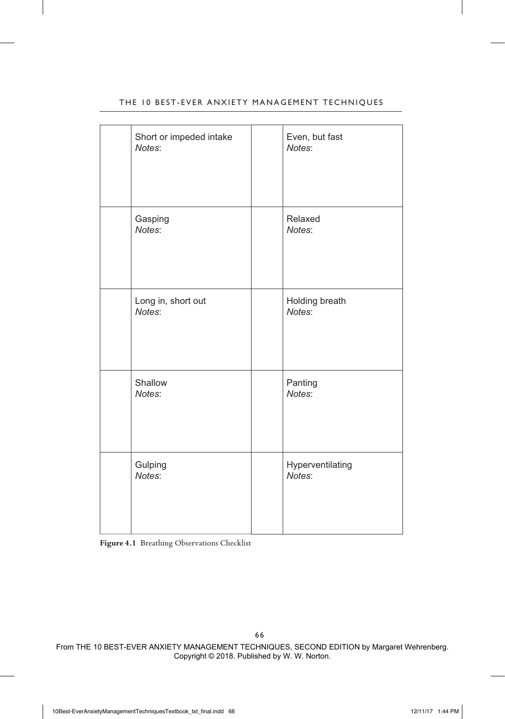#### THE 10 BEST-EVER ANXIETY MANAGEMENT TECHNIQUES

| Short or impeded intake<br>Notes: | Even, but fast<br>Notes:   |
|-----------------------------------|----------------------------|
| Gasping<br>Notes:                 | Relaxed<br>Notes:          |
| Long in, short out<br>Notes:      | Holding breath<br>Notes:   |
| Shallow<br>Notes:                 | Panting<br>Notes:          |
| Gulping<br>Notes:                 | Hyperventilating<br>Notes: |

**Figure 4.1** Breathing Observations Checklist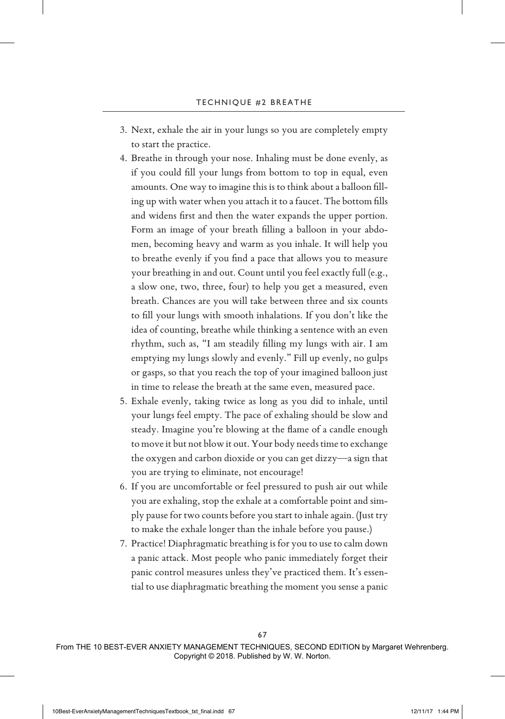- 3. Next, exhale the air in your lungs so you are completely empty to start the practice.
- 4. Breathe in through your nose. Inhaling must be done evenly, as if you could fill your lungs from bottom to top in equal, even amounts. One way to imagine this is to think about a balloon filling up with water when you attach it to a faucet. The bottom fills and widens first and then the water expands the upper portion. Form an image of your breath filling a balloon in your abdomen, becoming heavy and warm as you inhale. It will help you to breathe evenly if you find a pace that allows you to measure your breathing in and out. Count until you feel exactly full (e.g., a slow one, two, three, four) to help you get a measured, even breath. Chances are you will take between three and six counts to fill your lungs with smooth inhalations. If you don't like the idea of counting, breathe while thinking a sentence with an even rhythm, such as, "I am steadily filling my lungs with air. I am emptying my lungs slowly and evenly." Fill up evenly, no gulps or gasps, so that you reach the top of your imagined balloon just in time to release the breath at the same even, measured pace.
- 5. Exhale evenly, taking twice as long as you did to inhale, until your lungs feel empty. The pace of exhaling should be slow and steady. Imagine you're blowing at the flame of a candle enough to move it but not blow it out. Your body needs time to exchange the oxygen and carbon dioxide or you can get dizzy—a sign that you are trying to eliminate, not encourage!
- 6. If you are uncomfortable or feel pressured to push air out while you are exhaling, stop the exhale at a comfortable point and simply pause for two counts before you start to inhale again. (Just try to make the exhale longer than the inhale before you pause.)
- 7. Practice! Diaphragmatic breathing is for you to use to calm down a panic attack. Most people who panic immediately forget their panic control measures unless they've practiced them. It's essential to use diaphragmatic breathing the moment you sense a panic